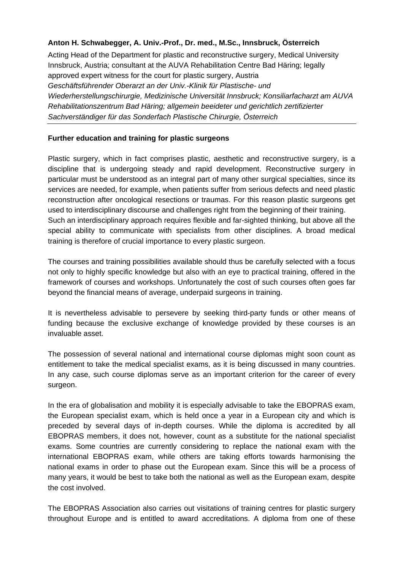## **Anton H. Schwabegger, A. Univ.-Prof., Dr. med., M.Sc., Innsbruck, Österreich**

Acting Head of the Department for plastic and reconstructive surgery, Medical University Innsbruck, Austria; consultant at the AUVA Rehabilitation Centre Bad Häring; legally approved expert witness for the court for plastic surgery, Austria *Geschäftsführender Oberarzt an der Univ.-Klinik für Plastische- und Wiederherstellungschirurgie, Medizinische Universität Innsbruck; Konsiliarfacharzt am AUVA Rehabilitationszentrum Bad Häring; allgemein beeideter und gerichtlich zertifizierter Sachverständiger für das Sonderfach Plastische Chirurgie, Österreich* 

## **Further education and training for plastic surgeons**

Plastic surgery, which in fact comprises plastic, aesthetic and reconstructive surgery, is a discipline that is undergoing steady and rapid development. Reconstructive surgery in particular must be understood as an integral part of many other surgical specialties, since its services are needed, for example, when patients suffer from serious defects and need plastic reconstruction after oncological resections or traumas. For this reason plastic surgeons get used to interdisciplinary discourse and challenges right from the beginning of their training. Such an interdisciplinary approach requires flexible and far-sighted thinking, but above all the special ability to communicate with specialists from other disciplines. A broad medical training is therefore of crucial importance to every plastic surgeon.

The courses and training possibilities available should thus be carefully selected with a focus not only to highly specific knowledge but also with an eye to practical training, offered in the framework of courses and workshops. Unfortunately the cost of such courses often goes far beyond the financial means of average, underpaid surgeons in training.

It is nevertheless advisable to persevere by seeking third-party funds or other means of funding because the exclusive exchange of knowledge provided by these courses is an invaluable asset.

The possession of several national and international course diplomas might soon count as entitlement to take the medical specialist exams, as it is being discussed in many countries. In any case, such course diplomas serve as an important criterion for the career of every surgeon.

In the era of globalisation and mobility it is especially advisable to take the EBOPRAS exam, the European specialist exam, which is held once a year in a European city and which is preceded by several days of in-depth courses. While the diploma is accredited by all EBOPRAS members, it does not, however, count as a substitute for the national specialist exams. Some countries are currently considering to replace the national exam with the international EBOPRAS exam, while others are taking efforts towards harmonising the national exams in order to phase out the European exam. Since this will be a process of many years, it would be best to take both the national as well as the European exam, despite the cost involved.

The EBOPRAS Association also carries out visitations of training centres for plastic surgery throughout Europe and is entitled to award accreditations. A diploma from one of these